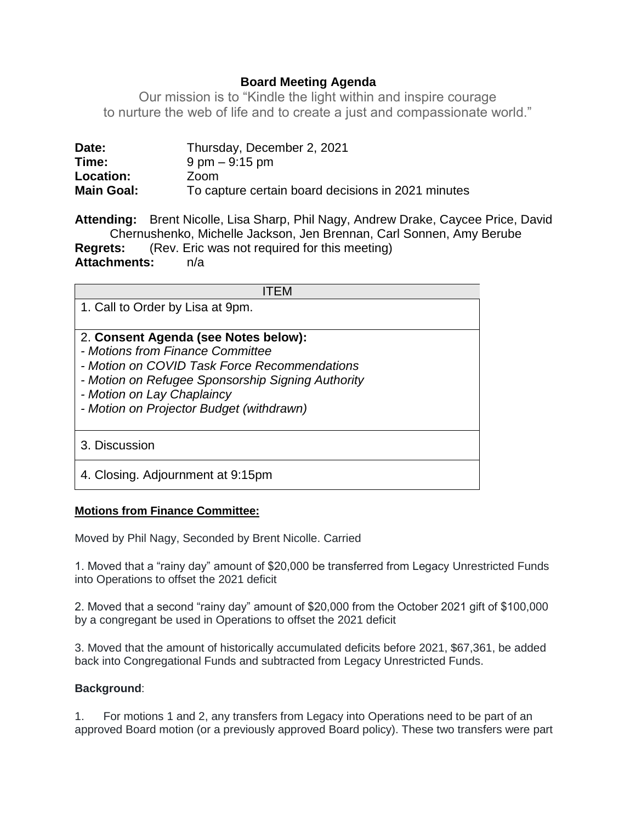# **Board Meeting Agenda**

Our mission is to "Kindle the light within and inspire courage to nurture the web of life and to create a just and compassionate world."

| Date:             | Thursday, December 2, 2021                         |
|-------------------|----------------------------------------------------|
| Time:             | $9 \text{ pm} - 9:15 \text{ pm}$                   |
| <b>Location:</b>  | Zoom                                               |
| <b>Main Goal:</b> | To capture certain board decisions in 2021 minutes |

**Attending:** Brent Nicolle, Lisa Sharp, Phil Nagy, Andrew Drake, Caycee Price, David Chernushenko, Michelle Jackson, Jen Brennan, Carl Sonnen, Amy Berube **Regrets:** (Rev. Eric was not required for this meeting) **Attachments:** n/a

| l I ⊢M                                                                   |
|--------------------------------------------------------------------------|
| 1. Call to Order by Lisa at 9pm.                                         |
|                                                                          |
| 2. Consent Agenda (see Notes below):<br>- Motions from Finance Committee |
| - Motion on COVID Task Force Recommendations                             |
| - Motion on Refugee Sponsorship Signing Authority                        |
| - Motion on Lay Chaplaincy                                               |
| - Motion on Projector Budget (withdrawn)                                 |
|                                                                          |
| 3. Discussion                                                            |
| 4. Closing. Adjournment at 9:15pm                                        |

## **Motions from Finance Committee:**

Moved by Phil Nagy, Seconded by Brent Nicolle. Carried

1. Moved that a "rainy day" amount of \$20,000 be transferred from Legacy Unrestricted Funds into Operations to offset the 2021 deficit

2. Moved that a second "rainy day" amount of \$20,000 from the October 2021 gift of \$100,000 by a congregant be used in Operations to offset the 2021 deficit

3. Moved that the amount of historically accumulated deficits before 2021, \$67,361, be added back into Congregational Funds and subtracted from Legacy Unrestricted Funds.

## **Background**:

1. For motions 1 and 2, any transfers from Legacy into Operations need to be part of an approved Board motion (or a previously approved Board policy). These two transfers were part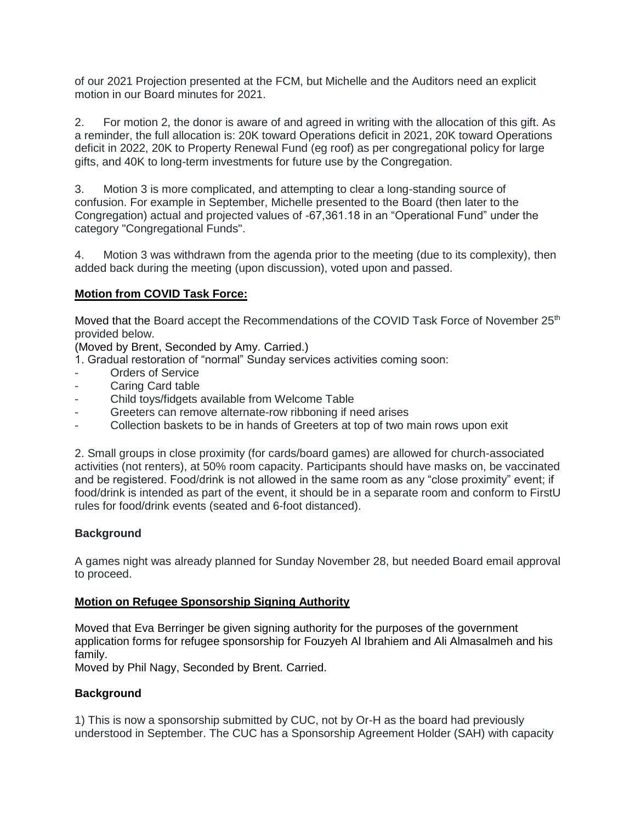of our 2021 Projection presented at the FCM, but Michelle and the Auditors need an explicit motion in our Board minutes for 2021.

2. For motion 2, the donor is aware of and agreed in writing with the allocation of this gift. As a reminder, the full allocation is: 20K toward Operations deficit in 2021, 20K toward Operations deficit in 2022, 20K to Property Renewal Fund (eg roof) as per congregational policy for large gifts, and 40K to long-term investments for future use by the Congregation.

3. Motion 3 is more complicated, and attempting to clear a long-standing source of confusion. For example in September, Michelle presented to the Board (then later to the Congregation) actual and projected values of -67,361.18 in an "Operational Fund" under the category "Congregational Funds".

4. Motion 3 was withdrawn from the agenda prior to the meeting (due to its complexity), then added back during the meeting (upon discussion), voted upon and passed.

# **Motion from COVID Task Force:**

Moved that the Board accept the Recommendations of the COVID Task Force of November 25<sup>th</sup> provided below.

(Moved by Brent, Seconded by Amy. Carried.)

1. Gradual restoration of "normal" Sunday services activities coming soon:

- Orders of Service
- Caring Card table
- Child toys/fidgets available from Welcome Table
- Greeters can remove alternate-row ribboning if need arises
- Collection baskets to be in hands of Greeters at top of two main rows upon exit

2. Small groups in close proximity (for cards/board games) are allowed for church-associated activities (not renters), at 50% room capacity. Participants should have masks on, be vaccinated and be registered. Food/drink is not allowed in the same room as any "close proximity" event; if food/drink is intended as part of the event, it should be in a separate room and conform to FirstU rules for food/drink events (seated and 6-foot distanced).

## **Background**

A games night was already planned for Sunday November 28, but needed Board email approval to proceed.

## **Motion on Refugee Sponsorship Signing Authority**

Moved that Eva Berringer be given signing authority for the purposes of the government application forms for refugee sponsorship for Fouzyeh Al Ibrahiem and Ali Almasalmeh and his family.

Moved by Phil Nagy, Seconded by Brent. Carried.

#### **Background**

1) This is now a sponsorship submitted by CUC, not by Or-H as the board had previously understood in September. The CUC has a Sponsorship Agreement Holder (SAH) with capacity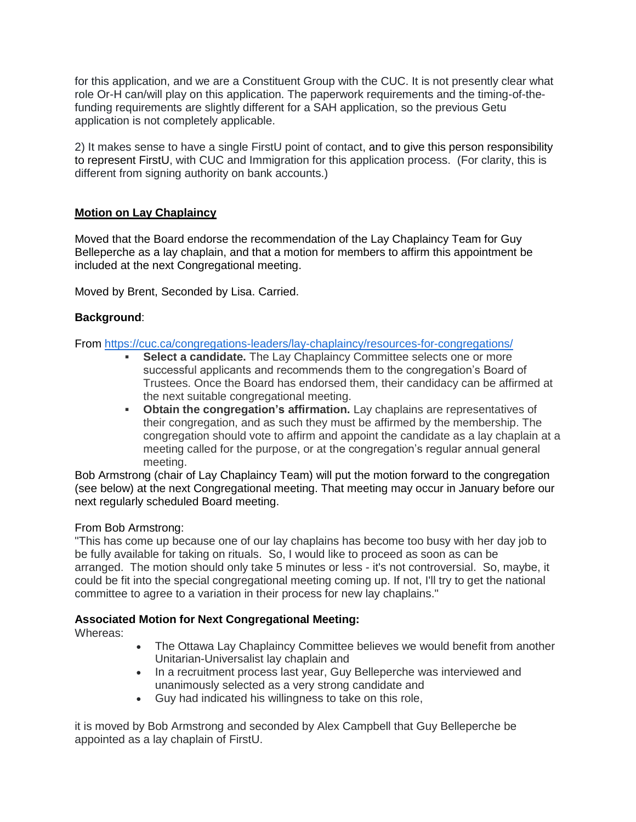for this application, and we are a Constituent Group with the CUC. It is not presently clear what role Or-H can/will play on this application. The paperwork requirements and the timing-of-thefunding requirements are slightly different for a SAH application, so the previous Getu application is not completely applicable.

2) It makes sense to have a single FirstU point of contact, and to give this person responsibility to represent FirstU, with CUC and Immigration for this application process. (For clarity, this is different from signing authority on bank accounts.)

## **Motion on Lay Chaplaincy**

Moved that the Board endorse the recommendation of the Lay Chaplaincy Team for Guy Belleperche as a lay chaplain, and that a motion for members to affirm this appointment be included at the next Congregational meeting.

Moved by Brent, Seconded by Lisa. Carried.

## **Background**:

From <https://cuc.ca/congregations-leaders/lay-chaplaincy/resources-for-congregations/>

- **Select a candidate.** The Lay Chaplaincy Committee selects one or more successful applicants and recommends them to the congregation's Board of Trustees. Once the Board has endorsed them, their candidacy can be affirmed at the next suitable congregational meeting.
- **Obtain the congregation's affirmation.** Lay chaplains are representatives of their congregation, and as such they must be affirmed by the membership. The congregation should vote to affirm and appoint the candidate as a lay chaplain at a meeting called for the purpose, or at the congregation's regular annual general meeting.

Bob Armstrong (chair of Lay Chaplaincy Team) will put the motion forward to the congregation (see below) at the next Congregational meeting. That meeting may occur in January before our next regularly scheduled Board meeting.

## From Bob Armstrong:

"This has come up because one of our lay chaplains has become too busy with her day job to be fully available for taking on rituals. So, I would like to proceed as soon as can be arranged. The motion should only take 5 minutes or less - it's not controversial. So, maybe, it could be fit into the special congregational meeting coming up. If not, I'll try to get the national committee to agree to a variation in their process for new lay chaplains."

## **Associated Motion for Next Congregational Meeting:**

Whereas:

- The Ottawa Lay Chaplaincy Committee believes we would benefit from another Unitarian-Universalist lay chaplain and
- In a recruitment process last year, Guy Belleperche was interviewed and unanimously selected as a very strong candidate and
- Guy had indicated his willingness to take on this role,

it is moved by Bob Armstrong and seconded by Alex Campbell that Guy Belleperche be appointed as a lay chaplain of FirstU.